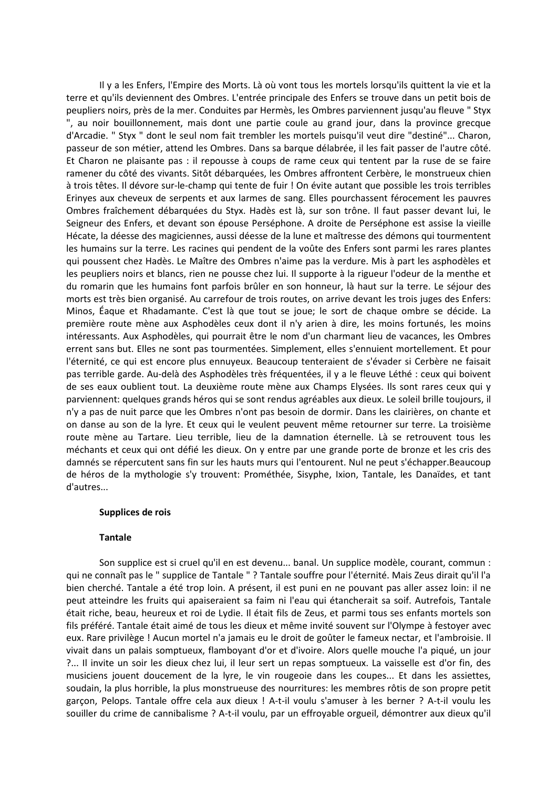Il y a les Enfers, l'Empire des Morts. Là où vont tous les mortels lorsqu'ils quittent la vie et la terre et qu'ils deviennent des Ombres. L'entrée principale des Enfers se trouve dans un petit bois de peupliers noirs, près de la mer. Conduites par Hermès, les Ombres parviennent jusqu'au fleuve " Styx ", au noir bouillonnement, mais dont une partie coule au grand jour, dans la province grecque d'Arcadie. " Styx " dont le seul nom fait trembler les mortels puisqu'il veut dire "destiné"... Charon, passeur de son métier, attend les Ombres. Dans sa barque délabrée, il les fait passer de l'autre côté. Et Charon ne plaisante pas : il repousse à coups de rame ceux qui tentent par la ruse de se faire ramener du côté des vivants. Sitôt débarquées, les Ombres affrontent Cerbère, le monstrueux chien à trois têtes. Il dévore sur-le-champ qui tente de fuir ! On évite autant que possible les trois terribles Erinyes aux cheveux de serpents et aux larmes de sang. Elles pourchassent férocement les pauvres Ombres fraîchement débarquées du Styx. Hadès est là, sur son trône. Il faut passer devant lui, le Seigneur des Enfers, et devant son épouse Perséphone. A droite de Perséphone est assise la vieille Hécate, la déesse des magiciennes, aussi déesse de la lune et maîtresse des démons qui tourmentent les humains sur la terre. Les racines qui pendent de la voûte des Enfers sont parmi les rares plantes qui poussent chez Hadès. Le Maître des Ombres n'aime pas la verdure. Mis à part les asphodèles et les peupliers noirs et blancs, rien ne pousse chez lui. Il supporte à la rigueur l'odeur de la menthe et du romarin que les humains font parfois brûler en son honneur, là haut sur la terre. Le séjour des morts est très bien organisé. Au carrefour de trois routes, on arrive devant les trois juges des Enfers: Minos, Éaque et Rhadamante. C'est là que tout se joue; le sort de chaque ombre se décide. La première route mène aux Asphodèles ceux dont il n'y arien à dire, les moins fortunés, les moins intéressants. Aux Asphodèles, qui pourrait être le nom d'un charmant lieu de vacances, les Ombres errent sans but. Elles ne sont pas tourmentées. Simplement, elles s'ennuient mortellement. Et pour l'éternité, ce qui est encore plus ennuyeux. Beaucoup tenteraient de s'évader si Cerbère ne faisait pas terrible garde. Au-delà des Asphodèles très fréquentées, il y a le fleuve Léthé : ceux qui boivent de ses eaux oublient tout. La deuxième route mène aux Champs Elysées. Ils sont rares ceux qui y parviennent: quelques grands héros qui se sont rendus agréables aux dieux. Le soleil brille toujours, il n'y a pas de nuit parce que les Ombres n'ont pas besoin de dormir. Dans les clairières, on chante et on danse au son de la lyre. Et ceux qui le veulent peuvent même retourner sur terre. La troisième route mène au Tartare. Lieu terrible, lieu de la damnation éternelle. Là se retrouvent tous les méchants et ceux qui ont défié les dieux. On y entre par une grande porte de bronze et les cris des damnés se répercutent sans fin sur les hauts murs qui l'entourent. Nul ne peut s'échapper. Beaucoup de héros de la mythologie s'y trouvent: Prométhée, Sisyphe, Ixion, Tantale, les Danaïdes, et tant d'autres...

### Supplices de rois

#### **Tantale**

Son supplice est si cruel qu'il en est devenu... banal. Un supplice modèle, courant, commun : qui ne connaît pas le " supplice de Tantale " ? Tantale souffre pour l'éternité. Mais Zeus dirait qu'il l'a bien cherché. Tantale a été trop loin. A présent, il est puni en ne pouvant pas aller assez loin: il ne peut atteindre les fruits qui apaiseraient sa faim ni l'eau qui étancherait sa soif. Autrefois, Tantale était riche, beau, heureux et roi de Lydie. Il était fils de Zeus, et parmi tous ses enfants mortels son fils préféré. Tantale était aimé de tous les dieux et même invité souvent sur l'Olympe à festoyer avec eux. Rare privilège ! Aucun mortel n'a jamais eu le droit de goûter le fameux nectar, et l'ambroisie. Il vivait dans un palais somptueux, flamboyant d'or et d'ivoire. Alors quelle mouche l'a piqué, un jour ?... Il invite un soir les dieux chez lui, il leur sert un repas somptueux. La vaisselle est d'or fin, des musiciens jouent doucement de la lyre, le vin rougeoie dans les coupes... Et dans les assiettes, soudain, la plus horrible, la plus monstrueuse des nourritures: les membres rôtis de son propre petit garçon, Pelops. Tantale offre cela aux dieux ! A-t-il voulu s'amuser à les berner ? A-t-il voulu les souiller du crime de cannibalisme ? A-t-il voulu, par un effroyable orgueil, démontrer aux dieux qu'il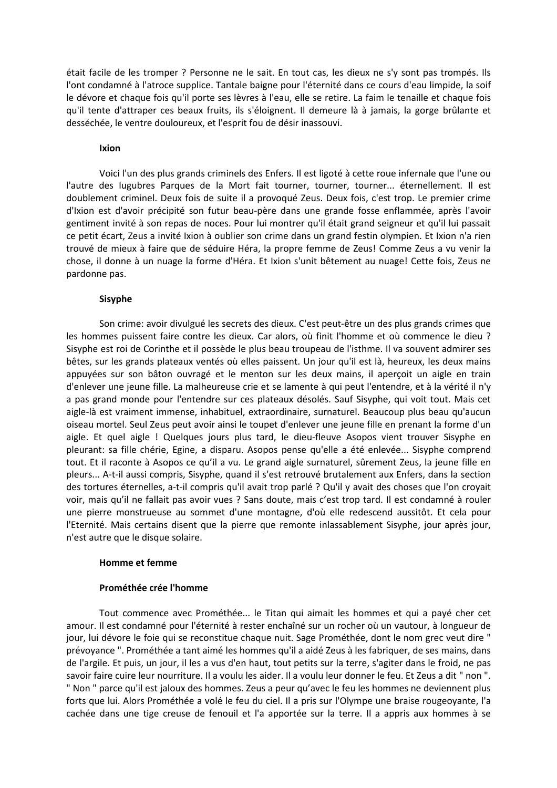était facile de les tromper ? Personne ne le sait. En tout cas, les dieux ne s'y sont pas trompés. Ils l'ont condamné à l'atroce supplice. Tantale baigne pour l'éternité dans ce cours d'eau limpide, la soif le dévore et chaque fois qu'il porte ses lèvres à l'eau, elle se retire. La faim le tenaille et chaque fois qu'il tente d'attraper ces beaux fruits, ils s'éloignent. Il demeure là à jamais, la gorge brûlante et desséchée, le ventre douloureux, et l'esprit fou de désir inassouvi.

#### Ixion

Voici l'un des plus grands criminels des Enfers. Il est ligoté à cette roue infernale que l'une ou l'autre des lugubres Parques de la Mort fait tourner, tourner, tourner... éternellement. Il est doublement criminel. Deux fois de suite il a provoqué Zeus. Deux fois, c'est trop. Le premier crime d'Ixion est d'avoir précipité son futur beau-père dans une grande fosse enflammée, après l'avoir gentiment invité à son repas de noces. Pour lui montrer qu'il était grand seigneur et qu'il lui passait ce petit écart, Zeus a invité Ixion à oublier son crime dans un grand festin olympien. Et Ixion n'a rien trouvé de mieux à faire que de séduire Héra, la propre femme de Zeus! Comme Zeus a vu venir la chose, il donne à un nuage la forme d'Héra. Et Ixion s'unit bêtement au nuage! Cette fois, Zeus ne pardonne pas.

# **Sisyphe**

Son crime: avoir divulgué les secrets des dieux. C'est peut-être un des plus grands crimes que les hommes puissent faire contre les dieux. Car alors, où finit l'homme et où commence le dieu ? Sisyphe est roi de Corinthe et il possède le plus beau troupeau de l'isthme. Il va souvent admirer ses bêtes, sur les grands plateaux ventés où elles paissent. Un jour qu'il est là, heureux, les deux mains appuyées sur son bâton ouvragé et le menton sur les deux mains, il apercoit un aigle en train d'enlever une jeune fille. La malheureuse crie et se lamente à qui peut l'entendre, et à la vérité il n'y a pas grand monde pour l'entendre sur ces plateaux désolés. Sauf Sisyphe, qui voit tout. Mais cet aigle-là est vraiment immense, inhabituel, extraordinaire, surnaturel. Beaucoup plus beau qu'aucun oiseau mortel. Seul Zeus peut avoir ainsi le toupet d'enlever une jeune fille en prenant la forme d'un aigle. Et quel aigle ! Quelques jours plus tard, le dieu-fleuve Asopos vient trouver Sisyphe en pleurant: sa fille chérie, Egine, a disparu. Asopos pense qu'elle a été enlevée... Sisyphe comprend tout. Et il raconte à Asopos ce qu'il a vu. Le grand aigle surnaturel, sûrement Zeus, la jeune fille en pleurs... A-t-il aussi compris, Sisyphe, quand il s'est retrouvé brutalement aux Enfers, dans la section des tortures éternelles, a-t-il compris qu'il avait trop parlé ? Qu'il y avait des choses que l'on croyait voir, mais qu'il ne fallait pas avoir vues ? Sans doute, mais c'est trop tard. Il est condamné à rouler une pierre monstrueuse au sommet d'une montagne, d'où elle redescend aussitôt. Et cela pour l'Eternité. Mais certains disent que la pierre que remonte inlassablement Sisyphe, jour après jour, n'est autre que le disque solaire.

# **Homme et femme**

# Prométhée crée l'homme

Tout commence avec Prométhée... le Titan qui aimait les hommes et qui a payé cher cet amour. Il est condamné pour l'éternité à rester enchaîné sur un rocher où un vautour, à longueur de jour, lui dévore le foie qui se reconstitue chaque nuit. Sage Prométhée, dont le nom grec veut dire " prévoyance ". Prométhée a tant aimé les hommes qu'il a aidé Zeus à les fabriquer, de ses mains, dans de l'argile. Et puis, un jour, il les a vus d'en haut, tout petits sur la terre, s'agiter dans le froid, ne pas savoir faire cuire leur nourriture. Il a voulu les aider. Il a voulu leur donner le feu. Et Zeus a dit " non ". " Non " parce qu'il est jaloux des hommes. Zeus a peur qu'avec le feu les hommes ne deviennent plus forts que lui. Alors Prométhée a volé le feu du ciel. Il a pris sur l'Olympe une braise rougeoyante, l'a cachée dans une tige creuse de fenouil et l'a apportée sur la terre. Il a appris aux hommes à se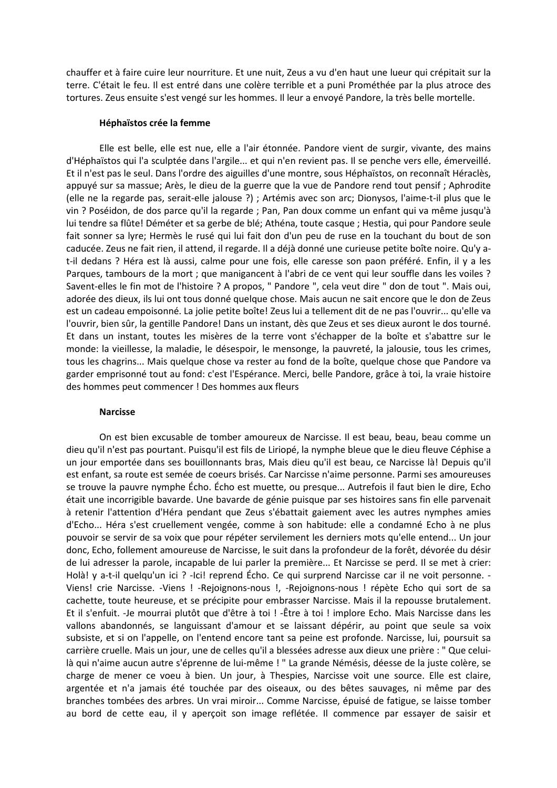chauffer et à faire cuire leur nourriture. Et une nuit, Zeus a vu d'en haut une lueur qui crépitait sur la terre. C'était le feu. Il est entré dans une colère terrible et a puni Prométhée par la plus atroce des tortures. Zeus ensuite s'est vengé sur les hommes. Il leur a envoyé Pandore, la très belle mortelle.

### Héphaïstos crée la femme

Elle est belle, elle est nue, elle a l'air étonnée. Pandore vient de surgir, vivante, des mains d'Héphaïstos qui l'a sculptée dans l'argile... et qui n'en revient pas. Il se penche vers elle, émerveillé. Et il n'est pas le seul. Dans l'ordre des aiguilles d'une montre, sous Héphaïstos, on reconnaît Héraclès, appuyé sur sa massue; Arès, le dieu de la guerre que la vue de Pandore rend tout pensif ; Aphrodite (elle ne la regarde pas, serait-elle jalouse ?) ; Artémis avec son arc; Dionysos, l'aime-t-il plus que le vin ? Poséidon, de dos parce qu'il la regarde ; Pan, Pan doux comme un enfant qui va même jusqu'à lui tendre sa flûte! Déméter et sa gerbe de blé; Athéna, toute casque ; Hestia, qui pour Pandore seule fait sonner sa lyre; Hermès le rusé qui lui fait don d'un peu de ruse en la touchant du bout de son caducée. Zeus ne fait rien, il attend, il regarde. Il a déjà donné une curieuse petite boîte noire. Qu'y at-il dedans ? Héra est là aussi, calme pour une fois, elle caresse son paon préféré. Enfin, il y a les Parques, tambours de la mort ; que manigancent à l'abri de ce vent qui leur souffle dans les voiles ? Savent-elles le fin mot de l'histoire ? A propos, " Pandore ", cela veut dire " don de tout ". Mais oui, adorée des dieux, ils lui ont tous donné quelque chose. Mais aucun ne sait encore que le don de Zeus est un cadeau empoisonné. La jolie petite boîte! Zeus lui a tellement dit de ne pas l'ouvrir... qu'elle va l'ouvrir, bien sûr, la gentille Pandore! Dans un instant, dès que Zeus et ses dieux auront le dos tourné. Et dans un instant, toutes les misères de la terre vont s'échapper de la boîte et s'abattre sur le monde: la vieillesse, la maladie, le désespoir, le mensonge, la pauvreté, la jalousie, tous les crimes, tous les chagrins... Mais quelque chose va rester au fond de la boîte, quelque chose que Pandore va garder emprisonné tout au fond: c'est l'Espérance. Merci, belle Pandore, grâce à toi, la vraie histoire des hommes peut commencer ! Des hommes aux fleurs

#### **Narcisse**

On est bien excusable de tomber amoureux de Narcisse. Il est beau, beau, beau comme un dieu qu'il n'est pas pourtant. Puisqu'il est fils de Liriopé, la nymphe bleue que le dieu fleuve Céphise a un jour emportée dans ses bouillonnants bras, Mais dieu qu'il est beau, ce Narcisse là! Depuis qu'il est enfant, sa route est semée de coeurs brisés. Car Narcisse n'aime personne. Parmi ses amoureuses se trouve la pauvre nymphe Écho. Écho est muette, ou presque... Autrefois il faut bien le dire, Echo était une incorrigible bavarde. Une bavarde de génie puisque par ses histoires sans fin elle parvenait à retenir l'attention d'Héra pendant que Zeus s'ébattait gaiement avec les autres nymphes amies d'Echo... Héra s'est cruellement vengée, comme à son habitude: elle a condamné Echo à ne plus pouvoir se servir de sa voix que pour répéter servilement les derniers mots qu'elle entend... Un jour donc, Echo, follement amoureuse de Narcisse, le suit dans la profondeur de la forêt, dévorée du désir de lui adresser la parole, incapable de lui parler la première... Et Narcisse se perd. Il se met à crier: Holà! y a-t-il quelqu'un ici ? -Ici! reprend Écho. Ce qui surprend Narcisse car il ne voit personne. -Viens! crie Narcisse. -Viens ! -Rejoignons-nous !, -Rejoignons-nous ! répète Echo qui sort de sa cachette, toute heureuse, et se précipite pour embrasser Narcisse. Mais il la repousse brutalement. Et il s'enfuit. -Je mourrai plutôt que d'être à toi ! -Être à toi ! implore Echo. Mais Narcisse dans les vallons abandonnés, se languissant d'amour et se laissant dépérir, au point que seule sa voix subsiste, et si on l'appelle, on l'entend encore tant sa peine est profonde. Narcisse, lui, poursuit sa carrière cruelle. Mais un jour, une de celles qu'il a blessées adresse aux dieux une prière : " Que celuilà qui n'aime aucun autre s'éprenne de lui-même ! " La grande Némésis, déesse de la juste colère, se charge de mener ce voeu à bien. Un jour, à Thespies, Narcisse voit une source. Elle est claire, argentée et n'a jamais été touchée par des oiseaux, ou des bêtes sauvages, ni même par des branches tombées des arbres. Un vrai miroir... Comme Narcisse, épuisé de fatigue, se laisse tomber au bord de cette eau, il y aperçoit son image reflétée. Il commence par essayer de saisir et